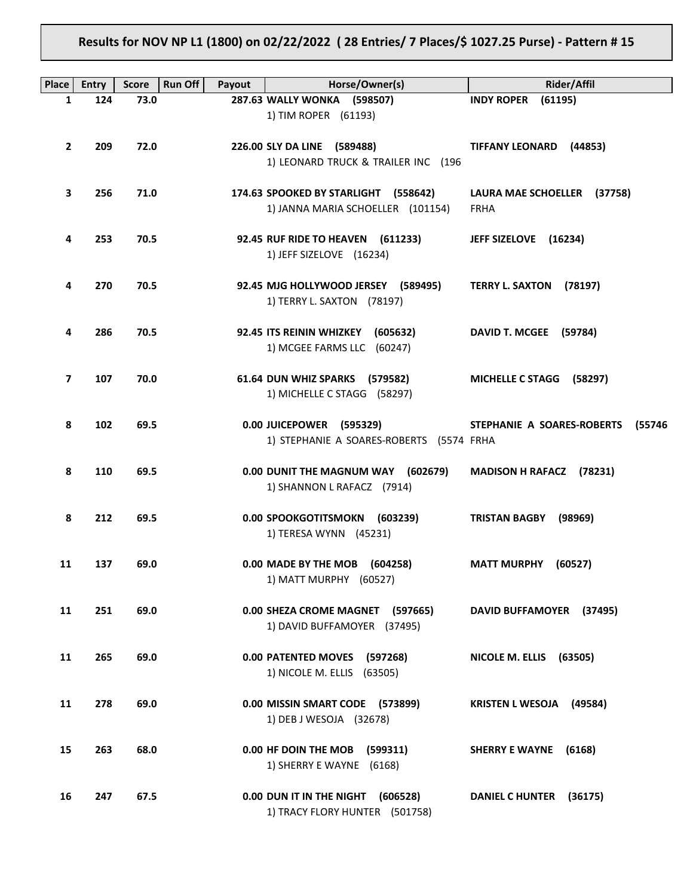# **Results for NOV NP L1 (1800) on 02/22/2022 ( 28 Entries/ 7 Places/\$ 1027.25 Purse) - Pattern # 15**

| <b>Place</b>            | <b>Entry</b> | <b>Score</b> | <b>Run Off</b><br>Payout | Horse/Owner(s)                           | <b>Rider/Affil</b>                   |
|-------------------------|--------------|--------------|--------------------------|------------------------------------------|--------------------------------------|
| 1                       | 124          | 73.0         |                          | 287.63 WALLY WONKA (598507)              | <b>INDY ROPER</b><br>(61195)         |
|                         |              |              |                          | 1) TIM ROPER (61193)                     |                                      |
| $\overline{2}$          | 209          | 72.0         |                          | 226.00 SLY DA LINE (589488)              | <b>TIFFANY LEONARD</b><br>(44853)    |
|                         |              |              |                          | 1) LEONARD TRUCK & TRAILER INC (196      |                                      |
|                         |              |              |                          |                                          |                                      |
| 3                       | 256          | 71.0         |                          | 174.63 SPOOKED BY STARLIGHT (558642)     | LAURA MAE SCHOELLER (37758)          |
|                         |              |              |                          | 1) JANNA MARIA SCHOELLER (101154)        | <b>FRHA</b>                          |
| 4                       | 253          | 70.5         |                          | 92.45 RUF RIDE TO HEAVEN (611233)        | JEFF SIZELOVE (16234)                |
|                         |              |              |                          | 1) JEFF SIZELOVE (16234)                 |                                      |
|                         |              |              |                          |                                          |                                      |
| 4                       | 270          | 70.5         |                          | 92.45 MJG HOLLYWOOD JERSEY (589495)      | <b>TERRY L. SAXTON</b><br>(78197)    |
|                         |              |              |                          | 1) TERRY L. SAXTON (78197)               |                                      |
| 4                       | 286          | 70.5         |                          | 92.45 ITS REININ WHIZKEY (605632)        | DAVID T. MCGEE (59784)               |
|                         |              |              |                          | 1) MCGEE FARMS LLC (60247)               |                                      |
|                         |              |              |                          |                                          |                                      |
| $\overline{\mathbf{z}}$ | 107          | 70.0         |                          | 61.64 DUN WHIZ SPARKS (579582)           | <b>MICHELLE C STAGG</b><br>(58297)   |
|                         |              |              |                          | 1) MICHELLE C STAGG (58297)              |                                      |
| 8                       | 102          | 69.5         |                          | 0.00 JUICEPOWER (595329)                 | STEPHANIE A SOARES-ROBERTS<br>(55746 |
|                         |              |              |                          | 1) STEPHANIE A SOARES-ROBERTS (5574 FRHA |                                      |
|                         |              |              |                          |                                          |                                      |
| 8                       | 110          | 69.5         |                          | 0.00 DUNIT THE MAGNUM WAY (602679)       | MADISON H RAFACZ (78231)             |
|                         |              |              |                          | 1) SHANNON L RAFACZ (7914)               |                                      |
| 8                       | 212          | 69.5         |                          | 0.00 SPOOKGOTITSMOKN<br>(603239)         | <b>TRISTAN BAGBY</b><br>(98969)      |
|                         |              |              |                          | 1) TERESA WYNN (45231)                   |                                      |
|                         |              |              |                          |                                          |                                      |
| 11                      | 137          | 69.0         |                          | 0.00 MADE BY THE MOB (604258)            | <b>MATT MURPHY</b><br>(60527)        |
|                         |              |              |                          | 1) MATT MURPHY (60527)                   |                                      |
| 11                      | 251          | 69.0         |                          | 0.00 SHEZA CROME MAGNET (597665)         | DAVID BUFFAMOYER (37495)             |
|                         |              |              |                          | 1) DAVID BUFFAMOYER (37495)              |                                      |
|                         |              |              |                          |                                          |                                      |
| 11                      | 265          | 69.0         |                          | 0.00 PATENTED MOVES (597268)             | NICOLE M. ELLIS (63505)              |
|                         |              |              |                          | 1) NICOLE M. ELLIS (63505)               |                                      |
| 11                      | 278          | 69.0         |                          | 0.00 MISSIN SMART CODE (573899)          | <b>KRISTEN L WESOJA (49584)</b>      |
|                         |              |              |                          | 1) DEB J WESOJA (32678)                  |                                      |
|                         |              |              |                          |                                          |                                      |
| 15                      | 263          | 68.0         |                          | 0.00 HF DOIN THE MOB<br>(599311)         | <b>SHERRY E WAYNE</b><br>(6168)      |
|                         |              |              |                          | 1) SHERRY E WAYNE (6168)                 |                                      |
| 16                      | 247          | 67.5         |                          | 0.00 DUN IT IN THE NIGHT<br>(606528)     | <b>DANIEL C HUNTER</b><br>(36175)    |
|                         |              |              |                          | 1) TRACY FLORY HUNTER (501758)           |                                      |
|                         |              |              |                          |                                          |                                      |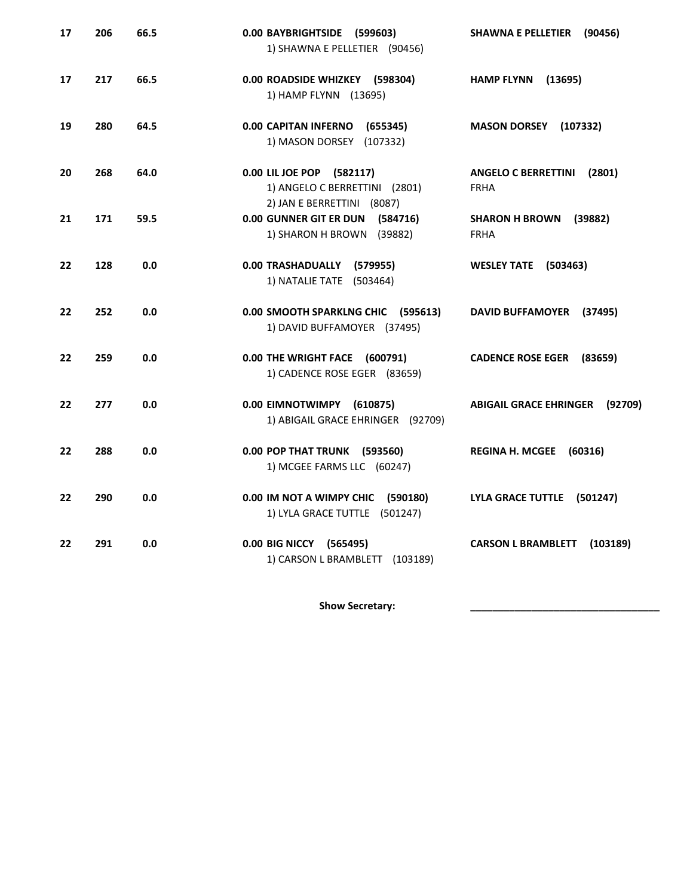| 17 | 206 | 66.5 | 0.00 BAYBRIGHTSIDE (599603)<br>1) SHAWNA E PELLETIER (90456)                             | <b>SHAWNA E PELLETIER</b><br>(90456)                |
|----|-----|------|------------------------------------------------------------------------------------------|-----------------------------------------------------|
| 17 | 217 | 66.5 | 0.00 ROADSIDE WHIZKEY (598304)<br>1) HAMP FLYNN (13695)                                  | <b>HAMP FLYNN</b><br>(13695)                        |
| 19 | 280 | 64.5 | 0.00 CAPITAN INFERNO<br>(655345)<br>1) MASON DORSEY (107332)                             | <b>MASON DORSEY</b><br>(107332)                     |
| 20 | 268 | 64.0 | 0.00 LIL JOE POP (582117)<br>1) ANGELO C BERRETTINI (2801)<br>2) JAN E BERRETTINI (8087) | <b>ANGELO C BERRETTINI</b><br>(2801)<br><b>FRHA</b> |
| 21 | 171 | 59.5 | 0.00 GUNNER GIT ER DUN (584716)<br>1) SHARON H BROWN (39882)                             | <b>SHARON H BROWN</b><br>(39882)<br><b>FRHA</b>     |
| 22 | 128 | 0.0  | 0.00 TRASHADUALLY<br>(579955)<br>1) NATALIE TATE (503464)                                | <b>WESLEY TATE</b><br>(503463)                      |
| 22 | 252 | 0.0  | 0.00 SMOOTH SPARKLNG CHIC<br>(595613)<br>1) DAVID BUFFAMOYER (37495)                     | <b>DAVID BUFFAMOYER</b><br>(37495)                  |
| 22 | 259 | 0.0  | 0.00 THE WRIGHT FACE (600791)<br>1) CADENCE ROSE EGER (83659)                            | <b>CADENCE ROSE EGER</b><br>(83659)                 |
| 22 | 277 | 0.0  | 0.00 EIMNOTWIMPY (610875)<br>1) ABIGAIL GRACE EHRINGER (92709)                           | <b>ABIGAIL GRACE EHRINGER</b><br>(92709)            |
| 22 | 288 | 0.0  | 0.00 POP THAT TRUNK (593560)<br>1) MCGEE FARMS LLC (60247)                               | <b>REGINA H. MCGEE</b><br>(60316)                   |
| 22 | 290 | 0.0  | 0.00 IM NOT A WIMPY CHIC (590180)<br>1) LYLA GRACE TUTTLE (501247)                       | <b>LYLA GRACE TUTTLE</b><br>(501247)                |
| 22 | 291 | 0.0  | 0.00 BIG NICCY<br>(565495)<br>1) CARSON L BRAMBLETT (103189)                             | <b>CARSON L BRAMBLETT</b><br>(103189)               |

Show Secretary: